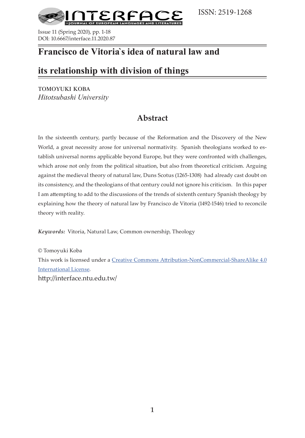



Issue 11 (Spring 2020), pp. 1-18 DOI: 10.6667/interface.11.2020.87

## **Francisco de Vitoria`s idea of natural law and**

## **its relationship with division of things**

tomoyuki koba *Hitotsubashi University*

## **Abstract**

In the sixteenth century, partly because of the Reformation and the Discovery of the New World, a great necessity arose for universal normativity. Spanish theologians worked to establish universal norms applicable beyond Europe, but they were confronted with challenges, which arose not only from the political situation, but also from theoretical criticism. Arguing against the medieval theory of natural law, Duns Scotus (1265-1308) had already cast doubt on its consistency, and the theologians of that century could not ignore his criticism. In this paper I am attempting to add to the discussions of the trends of sixtenth century Spanish theology by explaining how the theory of natural law by Francisco de Vitoria (1492-1546) tried to reconcile theory with reality.

*Keywords:* Vitoria, Natural Law, Common ownership, Theology

© Tomoyuki Koba This work is licensed under a [Creative Commons Attribution-NonCommercial-ShareAlike 4.0](https://creativecommons.org/licenses/by-nc-sa/4.0/)  [International License.](https://creativecommons.org/licenses/by-nc-sa/4.0/) http://interface.ntu.edu.tw/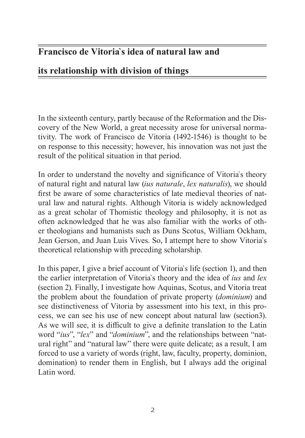# **Francisco de Vitoria`s idea of natural law and**

# **its relationship with division of things**

In the sixteenth century, partly because of the Reformation and the Discovery of the New World, a great necessity arose for universal normativity. The work of Francisco de Vitoria (1492-1546) is thought to be on response to this necessity; however, his innovation was not just the result of the political situation in that period.

In order to understand the novelty and significance of Vitoria`s theory of natural right and natural law (*ius naturale*, *lex naturalis*), we should first be aware of some characteristics of late medieval theories of natural law and natural rights. Although Vitoria is widely acknowledged as a great scholar of Thomistic theology and philosophy, it is not as often acknowledged that he was also familiar with the works of other theologians and humanists such as Duns Scotus, William Ockham, Jean Gerson, and Juan Luis Vives. So, I attempt here to show Vitoria`s theoretical relationship with preceding scholarship.

In this paper, I give a brief account of Vitoria`s life (section 1), and then the earlier interpretation of Vitoria`s theory and the idea of *ius* and *lex* (section 2). Finally, I investigate how Aquinas, Scotus, and Vitoria treat the problem about the foundation of private property (*dominium*) and see distinctiveness of Vitoria by assessment into his text, in this process, we can see his use of new concept about natural law (section3). As we will see, it is difficult to give a definite translation to the Latin word "*ius*", "*lex*" and "*dominium*", and the relationships between "natural right" and "natural law" there were quite delicate; as a result, I am forced to use a variety of words (right, law, faculty, property, dominion, domination) to render them in English, but I always add the original Latin word.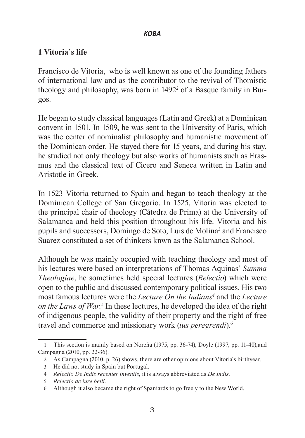## **1 Vitoria`s life**

Francisco de Vitoria,<sup>1</sup> who is well known as one of the founding fathers of international law and as the contributor to the revival of Thomistic theology and philosophy, was born in 1492<sup>2</sup> of a Basque family in Burgos.

He began to study classical languages (Latin and Greek) at a Dominican convent in 1501. In 1509, he was sent to the University of Paris, which was the center of nominalist philosophy and humanistic movement of the Dominican order. He stayed there for 15 years, and during his stay, he studied not only theology but also works of humanists such as Erasmus and the classical text of Cicero and Seneca written in Latin and Aristotle in Greek.

In 1523 Vitoria returned to Spain and began to teach theology at the Dominican College of San Gregorio. In 1525, Vitoria was elected to the principal chair of theology (Cátedra de Prima) at the University of Salamanca and held this position throughout his life. Vitoria and his pupils and successors, Domingo de Soto, Luis de Molina<sup>3</sup> and Francisco Suarez constituted a set of thinkers knwn as the Salamanca School.

Although he was mainly occupied with teaching theology and most of his lectures were based on interpretations of Thomas Aquinas' *Summa Theologiae*, he sometimes held special lectures (*Relectio*) which were open to the public and discussed contemporary political issues. His two most famous lectures were the *Lecture On the Indians4* and the *Lecture*  on the Laws of War.<sup>5</sup> In these lectures, he developed the idea of the right of indigenous people, the validity of their property and the right of free travel and commerce and missionary work (*ius peregrendi*).6

<sup>1</sup> This section is mainly based on Noreña (1975, pp. 36-74), Doyle (1997, pp. 11-40),and Campagna (2010, pp. 22-36).

<sup>2</sup> As Campagna (2010, p. 26) shows, there are other opinions about Vitoria`s birthyear.

<sup>3</sup> He did not study in Spain but Portugal.

<sup>4</sup> *Relectio De Indis recenter inventis*, it is always abbreviated as *De Indis.*

<sup>5</sup> *Relectio de iure belli.*

<sup>6</sup> Although it also became the right of Spaniards to go freely to the New World.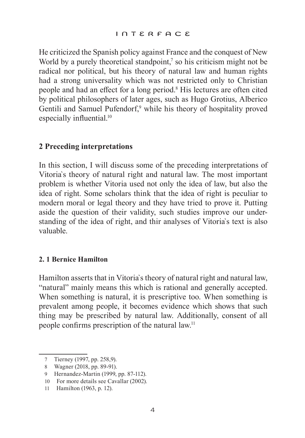He criticized the Spanish policy against France and the conquest of New World by a purely theoretical standpoint, $\bar{z}$  so his criticism might not be radical nor political, but his theory of natural law and human rights had a strong universality which was not restricted only to Christian people and had an effect for a long period.<sup>8</sup> His lectures are often cited by political philosophers of later ages, such as Hugo Grotius, Alberico Gentili and Samuel Pufendorf,<sup>9</sup> while his theory of hospitality proved especially influential.<sup>10</sup>

## **2 Preceding interpretations**

In this section, I will discuss some of the preceding interpretations of Vitoria`s theory of natural right and natural law. The most important problem is whether Vitoria used not only the idea of law, but also the idea of right. Some scholars think that the idea of right is peculiar to modern moral or legal theory and they have tried to prove it. Putting aside the question of their validity, such studies improve our understanding of the idea of right, and thir analyses of Vitoria`s text is also valuable.

## **2. 1 Bernice Hamilton**

Hamilton asserts that in Vitoria`s theory of natural right and natural law, "natural" mainly means this which is rational and generally accepted. When something is natural, it is prescriptive too. When something is prevalent among people, it becomes evidence which shows that such thing may be prescribed by natural law. Additionally, consent of all people confirms prescription of the natural law.11

<sup>7</sup> Tierney (1997, pp. 258,9).

<sup>8</sup> Wagner (2018, pp. 89-91).

<sup>9</sup> Hernandez-Martin (1999, pp. 87-112).

<sup>10</sup> For more details see Cavallar (2002).

<sup>11</sup> Hamilton (1963, p. 12).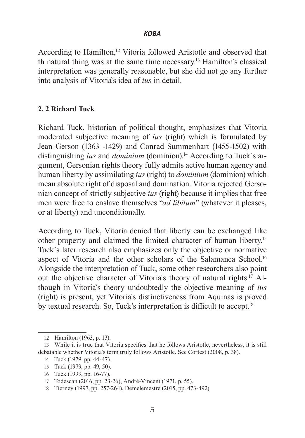According to Hamilton,<sup>12</sup> Vitoria followed Aristotle and observed that th natural thing was at the same time necessary.13 Hamilton`s classical interpretation was generally reasonable, but she did not go any further into analysis of Vitoria`s idea of *ius* in detail.

## **2. 2 Richard Tuck**

Richard Tuck, historian of political thought, emphasizes that Vitoria moderated subjective meaning of *ius* (right) which is formulated by Jean Gerson (1363 -1429) and Conrad Summenhart (1455-1502) with distinguishing *ius* and *dominium* (dominion).<sup>14</sup> According to Tuck's argument, Gersonian rights theory fully admits active human agency and human liberty by assimilating *ius* (right) to *dominium* (dominion) which mean absolute right of disposal and domination. Vitoria rejected Gersonian concept of strictly subjective *ius* (right) because it implies that free men were free to enslave themselves "*ad libitum*" (whatever it pleases, or at liberty) and unconditionally.

According to Tuck, Vitoria denied that liberty can be exchanged like other property and claimed the limited character of human liberty.15 Tuck`s later research also emphasizes only the objective or normative aspect of Vitoria and the other scholars of the Salamanca School.<sup>16</sup> Alongside the interpretation of Tuck, some other researchers also point out the objective character of Vitoria`s theory of natural rights.17 Although in Vitoria`s theory undoubtedly the objective meaning of *ius* (right) is present, yet Vitoria`s distinctiveness from Aquinas is proved by textual research. So, Tuck's interpretation is difficult to accept.<sup>18</sup>

- 15 Tuck (1979, pp. 49, 50).
- 16 Tuck (1999, pp. 16-77).

<sup>12</sup> Hamilton (1963, p. 13).

<sup>13</sup> While it is true that Vitoria specifies that he follows Aristotle, nevertheless, it is still debatable whether Vitoria`s term truly follows Aristotle. See Cortest (2008, p. 38).

<sup>14</sup> Tuck (1979, pp. 44-47).

<sup>17</sup> Todescan (2016, pp. 23-26), André-Vincent (1971, p. 55).

<sup>18</sup> Tierney (1997, pp. 257-264), Demelemestre (2015, pp. 473-492).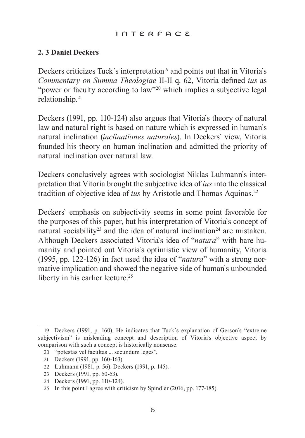#### interface

## **2. 3 Daniel Deckers**

Deckers criticizes Tuck's interpretation<sup>19</sup> and points out that in Vitoria's *Commentary on Summa Theologiae* II-II q. 62, Vitoria defined *ius* as "power or faculty according to law"20 which implies a subjective legal relationship.21

Deckers (1991, pp. 110-124) also argues that Vitoria`s theory of natural law and natural right is based on nature which is expressed in human`s natural inclination (*inclinationes naturales*). In Deckers` view, Vitoria founded his theory on human inclination and admitted the priority of natural inclination over natural law.

Deckers conclusively agrees with sociologist Niklas Luhmann`s interpretation that Vitoria brought the subjective idea of *ius* into the classical tradition of objective idea of *ius* by Aristotle and Thomas Aquinas.<sup>22</sup>

Deckers` emphasis on subjectivity seems in some point favorable for the purposes of this paper, but his interpretation of Vitoria`s concept of natural sociability<sup>23</sup> and the idea of natural inclination<sup>24</sup> are mistaken. Although Deckers associated Vitoria`s idea of "*natura*" with bare humanity and pointed out Vitoria`s optimistic view of humanity, Vitoria (1995, pp. 122-126) in fact used the idea of "*natura*" with a strong normative implication and showed the negative side of human`s unbounded liberty in his earlier lecture.<sup>25</sup>

<sup>19</sup> Deckers (1991, p. 160). He indicates that Tuck`s explanation of Gerson`s "extreme subjectivism" is misleading concept and description of Vitoria`s objective aspect by comparison with such a concept is historically nonsense.

<sup>20</sup> "potestas vel facultas ... secundum leges".

<sup>21</sup> Deckers (1991, pp. 160-163).

<sup>22</sup> Luhmann (1981, p. 56). Deckers (1991, p. 145).

<sup>23</sup> Deckers (1991, pp. 50-53).

<sup>24</sup> Deckers (1991, pp. 110-124).

<sup>25</sup> In this point I agree with criticism by Spindler (2016, pp. 177-185).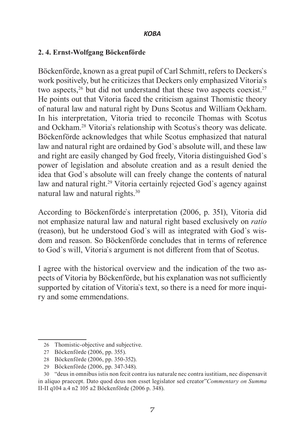### **2. 4. Ernst-Wolfgang Böckenförde**

Böckenförde, known as a great pupil of Carl Schmitt, refers to Deckers`s work positively, but he criticizes that Deckers only emphasized Vitoria`s two aspects,<sup>26</sup> but did not understand that these two aspects coexist.<sup>27</sup> He points out that Vitoria faced the criticism against Thomistic theory of natural law and natural right by Duns Scotus and William Ockham. In his interpretation, Vitoria tried to reconcile Thomas with Scotus and Ockham.28 Vitoria`s relationship with Scotus`s theory was delicate. Böckenförde acknowledges that while Scotus emphasized that natural law and natural right are ordained by God`s absolute will, and these law and right are easily changed by God freely, Vitoria distinguished God`s power of legislation and absolute creation and as a result denied the idea that God`s absolute will can freely change the contents of natural law and natural right.<sup>29</sup> Vitoria certainly rejected God's agency against natural law and natural rights.30

According to Böckenförde`s interpretation (2006, p. 351), Vitoria did not emphasize natural law and natural right based exclusively on *ratio* (reason), but he understood God`s will as integrated with God`s wisdom and reason. So Böckenförde concludes that in terms of reference to God`s will, Vitoria`s argument is not different from that of Scotus.

I agree with the historical overview and the indication of the two aspects of Vitoria by Böckenförde, but his explanation was not sufficiently supported by citation of Vitoria`s text, so there is a need for more inquiry and some emmendations.

<sup>26</sup> Thomistic-objective and subjective.

<sup>27</sup> Böckenförde (2006, pp. 355).

<sup>28</sup> Böckenförde (2006, pp. 350-352).

<sup>29</sup> Böckenförde (2006, pp. 347-348).

<sup>30</sup> "deus in omnibus istis non fecit contra ius naturale nec contra iustitiam, nec dispensavit in aliquo praecept. Dato quod deus non esset legislator sed creator"*Commentary on Summa*  II-II q104 a.4 n2 105 a2 Böckenförde (2006 p. 348).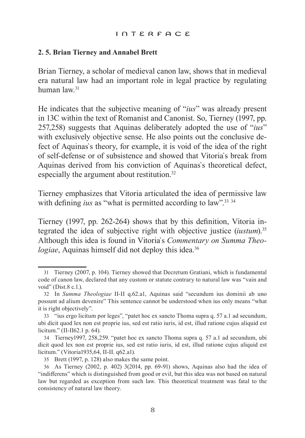#### interface

#### **2. 5. Brian Tierney and Annabel Brett**

Brian Tierney, a scholar of medieval canon law, shows that in medieval era natural law had an important role in legal practice by regulating human law.31

He indicates that the subjective meaning of "*ius*" was already present in 13C within the text of Romanist and Canonist. So, Tierney (1997, pp. 257,258) suggests that Aquinas deliberately adopted the use of "*ius*" with exclusively objective sense. He also points out the conclusive defect of Aquinas`s theory, for example, it is void of the idea of the right of self-defense or of subsistence and showed that Vitoria`s break from Aquinas derived from his conviction of Aquinas`s theoretical defect, especially the argument about restitution.32

Tierney emphasizes that Vitoria articulated the idea of permissive law with defining *ius* as "what is permitted according to law".<sup>33 34</sup>

Tierney (1997, pp. 262-264) shows that by this definition, Vitoria integrated the idea of subjective right with objective justice (*iustum*).35 Although this idea is found in Vitoria`s *Commentary on Summa Theologiae*, Aquinas himself did not deploy this idea.<sup>36</sup>

<sup>31</sup> Tierney (2007, p. 104). Tierney showed that Decretum Gratiani, which is fundamental code of canon law, declared that any custom or statute contrary to natural law was "vain and void" (Dist.8 c.1.).

<sup>32</sup> In *Summa Theologiae* II-II q.62.a1, Aquinas said "secundum ius dominii ab uno possunt ad alium devenire" This sentence cannot be understood when ius only means "what it is right objectively".

<sup>33</sup> "ius ergo licitum por leges", "patet hoc ex sancto Thoma supra q. 57 a.1 ad secundum, ubi dicit quod lex non est proprie ius, sed est ratio iuris, id est, illud ratione cujus aliquid est licitum." (II-II62.1 p. 64).

<sup>34</sup> Tierney1997, 258,259. "patet hoc ex sancto Thoma supra q. 57 a.1 ad secundum, ubi dicit quod lex non est proprie ius, sed est ratio iuris, id est, illud ratione cujus aliquid est licitum." (Vitoria1935,64, II-II. q62.a1).

<sup>35</sup> Brett (1997, p. 128) also makes the same point.

<sup>36</sup> As Tierney (2002, p. 402) 3(2014, pp. 69-91) shows, Aquinas also had the idea of "indifferens" which is distinguished from good or evil, but this idea was not based on natural law but regarded as exception from such law. This theoretical treatment was fatal to the consistency of natural law theory.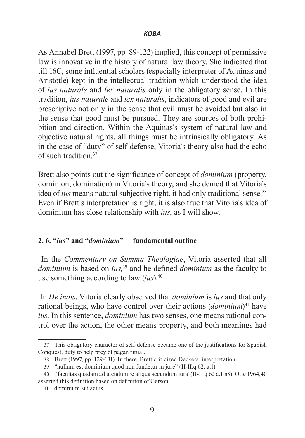As Annabel Brett (1997, pp. 89-122) implied, this concept of permissive law is innovative in the history of natural law theory. She indicated that till 16C, some influential scholars (especially interpreter of Aquinas and Aristotle) kept in the intellectual tradition which understood the idea of *ius naturale* and *lex naturalis* only in the obligatory sense. In this tradition, *ius naturale* and *lex naturalis*, indicators of good and evil are prescriptive not only in the sense that evil must be avoided but also in the sense that good must be pursued. They are sources of both prohibition and direction. Within the Aquinas`s system of natural law and objective natural rights, all things must be intrinsically obligatory. As in the case of "duty" of self-defense, Vitoria`s theory also had the echo of such tradition<sup>37</sup>

Brett also points out the significance of concept of *dominium* (property, dominion, domination) in Vitoria`s theory, and she denied that Vitoria`s idea of *ius* means natural subjective right, it had only traditional sense.<sup>38</sup> Even if Brett`s interpretation is right, it is also true that Vitoria`s idea of dominium has close relationship with *ius*, as I will show.

## **2. 6. "***ius***" and "***dominium***" —fundamental outline**

 In the *Commentary on Summa Theologiae*, Vitoria asserted that all *dominium* is based on *ius,*39 and he defined *dominium* as the faculty to use something according to law (*ius*).40

 In *De indis*, Vitoria clearly observed that *dominium* is *ius* and that only rational beings, who have control over their actions (*dominium*)<sup>41</sup> have *ius*. In this sentence, *dominium* has two senses, one means rational control over the action, the other means property, and both meanings had

<sup>37</sup> This obligatory character of self-defense became one of the justifications for Spanish Conquest, duty to help prey of pagan ritual.

<sup>38</sup> Brett (1997, pp. 129-131). In there, Brett criticized Deckers` interpretation.

<sup>39</sup> "nullum est dominium quod non fundetur in jure" (II-II.q.62. a.1).

<sup>40</sup> "facultas quadam ad utendum re aliqua secundum iura"(II-II q.62 a.1 n8). Otte 1964,40 asserted this definition based on definition of Gerson.

<sup>41</sup> dominium sui actus.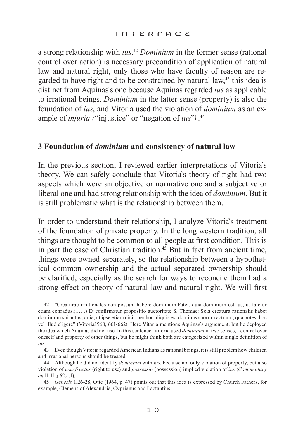a strong relationship with *ius*. <sup>42</sup> *Dominium* in the former sense (rational control over action) is necessary precondition of application of natural law and natural right, only those who have faculty of reason are regarded to have right and to be constrained by natural law,<sup>43</sup> this idea is distinct from Aquinas`s one because Aquinas regarded *ius* as applicable to irrational beings. *Dominium* in the latter sense (property) is also the foundation of *ius*, and Vitoria used the violation of *dominium* as an example of *injuria (*"injustice" or "negation of *ius*"*)*. 44

## **3 Foundation of** *dominium* **and consistency of natural law**

In the previous section, I reviewed earlier interpretations of Vitoria`s theory. We can safely conclude that Vitoria`s theory of right had two aspects which were an objective or normative one and a subjective or liberal one and had strong relationship with the idea of *dominium*. But it is still problematic what is the relationship between them.

In order to understand their relationship, I analyze Vitoria`s treatment of the foundation of private property. In the long western tradition, all things are thought to be common to all people at first condition. This is in part the case of Christian tradition.<sup>45</sup> But in fact from ancient time, things were owned separately, so the relationship between a hypothetical common ownership and the actual separated ownership should be clarified, especially as the search for ways to reconcile them had a strong effect on theory of natural law and natural right. We will first

<sup>42</sup> "Creaturae irrationales non possunt habere dominium.Patet, quia dominium est ius, ut fatetur etiam conradus.(……) Et confirmatur propositio auctoritate S. Thomae: Sola creatura rationalis habet dominium sui actus, quia, ut ipse etiam dicit, per hoc aliquis est dominus suorum actuum, qua potest hoc vel illud eligere" (Vitoria1960, 661-662). Here Vitoria mentions Aquinas`s arguement, but he deployed the idea which Aquinas did not use. In this sentence, Vitoria used *dominium* in two senses, –control over oneself and property of other things, but he might think both are categorized within single definition of *ius*.

<sup>43</sup> Even though Vitoria regarded American Indians as rational beings, it is still problem how children and irrational persons should be treated.

<sup>44</sup> Although he did not identify *dominium* with *ius*, because not only violation of property, but also violation of *ususfructus* (right to use) and *possessio* (possession) implied violation of *ius* (*Commentary on* II-II q.62.a.1).

<sup>45</sup> *Genesis* 1.26-28, Otte (1964, p. 47) points out that this idea is expressed by Church Fathers, for example, Clemens of Alexandria, Cyprianus and Lactantius.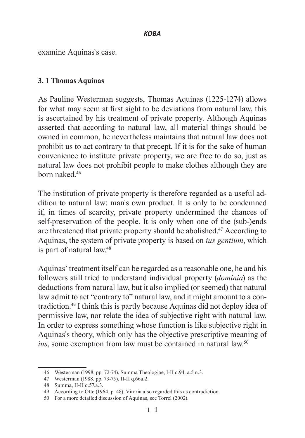examine Aquinas`s case.

## **3. 1 Thomas Aquinas**

As Pauline Westerman suggests, Thomas Aquinas (1225-1274) allows for what may seem at first sight to be deviations from natural law, this is ascertained by his treatment of private property. Although Aquinas asserted that according to natural law, all material things should be owned in common, he nevertheless maintains that natural law does not prohibit us to act contrary to that precept. If it is for the sake of human convenience to institute private property, we are free to do so, just as natural law does not prohibit people to make clothes although they are born naked.46

The institution of private property is therefore regarded as a useful addition to natural law: man`s own product. It is only to be condemned if, in times of scarcity, private property undermined the chances of self-preservation of the people. It is only when one of the (sub-)ends are threatened that private property should be abolished.<sup>47</sup> According to Aquinas, the system of private property is based on *ius gentium*, which is part of natural law.48

Aquinas' treatment itself can be regarded as a reasonable one, he and his followers still tried to understand individual property (*dominia*) as the deductions from natural law, but it also implied (or seemed) that natural law admit to act "contrary to" natural law, and it might amount to a contradiction.49 I think this is partly because Aquinas did not deploy idea of permissive law, nor relate the idea of subjective right with natural law. In order to express something whose function is like subjective right in Aquinas`s theory, which only has the objective prescriptive meaning of ius, some exemption from law must be contained in natural law.<sup>50</sup>

<sup>46</sup> Westerman (1998, pp. 72-74), Summa Theologiae, I-II q.94. a.5 n.3.

<sup>47</sup> Westerman (1988, pp. 73-75), II-II q.66a.2.

<sup>48</sup> Summa, II-II q.57.a.3.

<sup>49</sup> According to Otte (1964, p. 48), Vitoria also regarded this as contradiction.

<sup>50</sup> For a more detailed discussion of Aquinas, see Torrel (2002).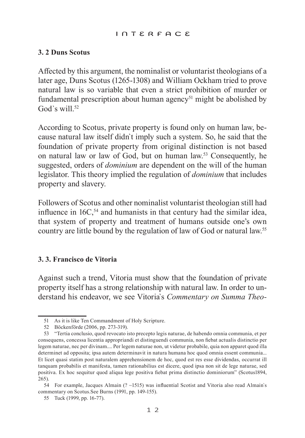#### interface

## **3. 2 Duns Scotus**

Affected by this argument, the nominalist or voluntarist theologians of a later age, Duns Scotus (1265-1308) and William Ockham tried to prove natural law is so variable that even a strict prohibition of murder or fundamental prescription about human agency<sup>51</sup> might be abolished by God's will  $52$ 

According to Scotus, private property is found only on human law, because natural law itself didn`t imply such a system. So, he said that the foundation of private property from original distinction is not based on natural law or law of God, but on human law.53 Consequently, he suggested, orders of *dominium* are dependent on the will of the human legislator. This theory implied the regulation of *dominium* that includes property and slavery.

Followers of Scotus and other nominalist voluntarist theologian still had influence in  $16C<sub>54</sub>$  and humanists in that century had the similar idea, that system of property and treatment of humans outside one's own country are little bound by the regulation of law of God or natural law.55

## **3. 3. Francisco de Vitoria**

Against such a trend, Vitoria must show that the foundation of private property itself has a strong relationship with natural law. In order to understand his endeavor, we see Vitoria`s *Commentary on Summa Theo-*

<sup>51</sup> As it is like Ten Commandment of Holy Scripture.

<sup>52</sup> Böckenförde (2006, pp. 273-319).

<sup>53</sup> "Tertia conclusio, quod revocato isto precepto legis naturae, de habendo omnia communia, et per consequens, concessa licentia appropriandi et distinguendi communia, non fiebat actualis distinctio per legem naturae, nec per divinam.... Per legem naturae non, ut videtur probabile, quia non apparet quod illa determinet ad opposita; ipsa autem determinavit in natura humana hoc quod omnia essent communia... Et licet quasi statim post naturalem apprehensionem de hoc, quod est res esse dividendas, occurrat ill tanquam probabilis et manifesta, tamen rationabilius est dicere, quod ipsa non sit de lege naturae, sed positiva. Ex hoc sequitur quod aliqua lege positiva fiebat prima distinctio dominiorum" (Scotus1894, 265).

<sup>54</sup> For example, Jacques Almain (? ~1515) was influential Scotist and Vitoria also read Almain`s commentary on Scotus.See Burns (1991, pp. 149-155).

<sup>55</sup> Tuck (1999, pp. 16-77).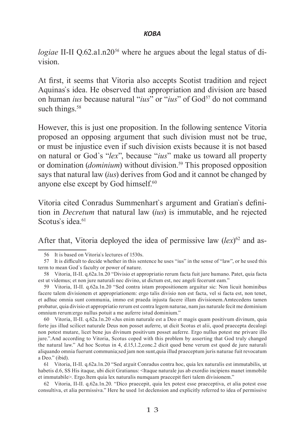*logiae* II-II Q.62.a1.n20*<sup>56</sup>* where he argues about the legal status of division.

At first, it seems that Vitoria also accepts Scotist tradition and reject Aquinas`s idea. He observed that appropriation and division are based on human *ius* because natural "*ius*" or "*ius*" of God<sup>57</sup> do not command such things.<sup>58</sup>

However, this is just one proposition. In the following sentence Vitoria proposed an opposing argument that such division must not be true, or must be injustice even if such division exists because it is not based on natural or God`s "*lex*", because "*ius*" make us toward all property or domination *(dominium)* without division.<sup>59</sup> This proposed opposition says that natural law (*ius*) derives from God and it cannot be changed by anyone else except by God himself.<sup>60</sup>

Vitoria cited Conradus Summenhart`s argument and Gratian`s definition in *Decretum* that natural law (*ius*) is immutable, and he rejected Scotus's idea.<sup>61</sup>

After that, Vitoria deployed the idea of permissive law (*lex*) 62 and as-

60 Vitoria, II-II. q.62a.1n.20 «Jus enim naturale est a Deo et magis quam positivum divinum, quia forte jus illud scilicet naturale Deus non posset auferre, ut dicit Scotus et alii, quod praecepta decalogi non potest mutare, licet bene jus divinum positivum posset auferre. Ergo nullus potest me privare illo jure.".And according to Vitoria, Scotus coped with this problem by asserting that God truly changed the natural law." Ad hoc Scotus in 4, d.15,1.2,conc.2 dicit quod bene verum est quod de jure naturali aliquando omnia fuerunt communia;sed jam non sunt,quia illud praeceptum juris naturae fuit revocatum a Deo." (ibid).

61 Vitoria, II-II. q.62a.1n.20 "Sed arguit Conradus contra hoc, quia lex naturalis est immutabilis, ut habetis d.6, SS His itaque, ubi dicit Gratianus: <Itaque naturale jus ab exordio incipiens manet immobile et immutabile>. Ergo.Item quia lex naturalis numquam praecepit fieri talem divisionem."

62 Vitoria, II-II. q.62a.1n.20. "Dico praecepit, quia lex potest esse praeceptiva, et alia potest esse consultiva, et alia permissiva." Here he used 1st declension and explicitly referred to idea of permissive

<sup>56</sup> It is based on Vitoria`s lectures of 1530s.

<sup>57</sup> It is difficult to decide whether in this sentence he uses "ius" in the sense of "law", or he used this term to mean God`s faculty or power of nature.

<sup>58</sup> Vitoria, II-II. q.62a.1n.20 "Divisio et appropriatio rerum facta fuit jure humano. Patet, quia facta est ut videmus; et non jure naturali nec divino, ut dictum est, nec angeli fecerunt eam."

<sup>59</sup> Vitoria, II-II. q.62a.1n.20 "Sed contra istam propositionem arguitur sic: Non licuit hominibus facere talem divisionem et appropriationem: ergo talis divisio non est facta, vel si facta est, non tenet, et adhuc omnia sunt communia, immo est praeda injusta facere illam divisionem.Amtecedens tamen probatur, quia divisio et appropriatio rerum est contra legem naturae, nam jus naturale fecit me dominium omnium rerum:ergo nullus potuit a me auferre istud dominium."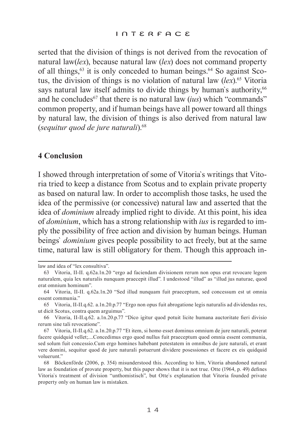serted that the division of things is not derived from the revocation of natural law(*lex*), because natural law (*lex*) does not command property of all things,  $63$  it is only conceded to human beings,  $64$  So against Scotus, the division of things is no violation of natural law (*lex*).65 Vitoria says natural law itself admits to divide things by human's authority,<sup>66</sup> and he concludes<sup>67</sup> that there is no natural law *(ius)* which "commands" common property, and if human beings have all power toward all things by natural law, the division of things is also derived from natural law (*sequitur quod de jure naturali*).68

## **4 Conclusion**

I showed through interpretation of some of Vitoria`s writings that Vitoria tried to keep a distance from Scotus and to explain private property as based on natural law. In order to accomplish those tasks, he used the idea of the permissive (or concessive) natural law and asserted that the idea of *dominium* already implied right to divide. At this point, his idea of *dominium*, which has a strong relationship with *ius* is regarded to imply the possibility of free action and division by human beings. Human beings` *dominium* gives people possibility to act freely, but at the same time, natural law is still obligatory for them. Though this approach in-

law and idea of "lex consultiva".

<sup>63</sup> Vitoria, II-II. q.62a.1n.20 "ergo ad faciendam divisionem rerum non opus erat revocare legem naturalem, quia lex naturalis nunquam praecepit illud". I undestood "illud" as "illud jus naturae, quod erat omnium hominum".

<sup>64</sup> Vitoria, II-II. q.62a.1n.20 "Sed illud nunquam fuit praeceptum, sed concessum est ut omnia essent communia."

<sup>65</sup> Vitoria, II-II.q.62. a.1n.20.p.77 "Ergo non opus fuit abrogatione legis naturalis ad dividendas res, ut dicit Scotus, contra quem arguimus".

<sup>66</sup> Vitoria, II-II.q.62. a.1n.20.p.77 "Dico igitur quod potuit licite humana auctoritate fieri divisio rerum sine tali revocatione".

<sup>67</sup> Vitoria, II-II.q.62. a.1n.20.p.77 "Et item, si homo esset dominus omnium de jure naturali, poterat facere quidquid vellet;....Concedimus ergo quod nullus fuit praeceptum quod omnia essent communia, sed solum fuit concessio.Cum ergo homines habebant potestatem in omnibus de jure naturali, et erant vere domini, sequitur quod de jure naturali potuerunt dividere posessiones et facere ex eis quidquid voluerunt."

<sup>68</sup> Böckenförde (2006, p. 354) misunderstood this. According to him, Vitoria abandoned natural law as foundation of provate property, but this paper shows that it is not true. Otte (1964, p. 49) defines Vitoria`s treatment of division "unthomistisch", but Otte`s explanation that Vitoria founded private property only on human law is mistaken.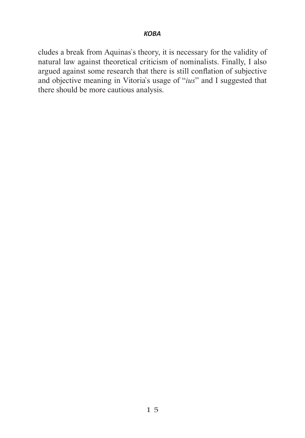cludes a break from Aquinas`s theory, it is necessary for the validity of natural law against theoretical criticism of nominalists. Finally, I also argued against some research that there is still conflation of subjective and objective meaning in Vitoria`s usage of "*ius*" and I suggested that there should be more cautious analysis.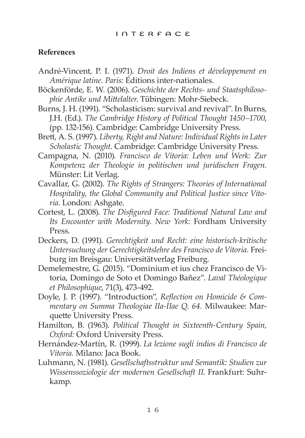## **References**

- André-Vincent, P. I. (1971). *Droit des Indiens et développement en Amérique latine. Paris:* Éditions inter-nationales.
- Böckenförde, E. W. (2006). *Geschichte der Rechts- und Staatsphilosophie Antike und Mittelalter*. Tübingen: Mohr-Siebeck.
- Burns, J. H. (1991). "Scholasticism: survival and revival". In Burns, J.H. (Ed.). *The Cambridge History of Political Thought 1450–1700*, (pp. 132-156). Cambridge: Cambridge University Press.
- Brett, A. S. (1997). *Liberty, Right and Nature: Individual Rights in Later Scholastic Thought*. Cambridge: Cambridge University Press.
- Campagna, N. (2010). *Francisco de Vitoria: Leben und Werk: Zur Kompetenz der Theologie in politischen und juridischen Fragen.*  Münster: Lit Verlag.
- Cavallar, G. (2002). *The Rights of Strangers: Theories of International Hospitality, the Global Community and Political Justice since Vitoria*. London: Ashgate.
- Cortest, L. (2008). *The Disfigured Face: Traditional Natural Law and Its Encounter with Modernity. New York:* Fordham University Press*.*
- Deckers, D. (1991). *Gerechtigkeit und Recht: eine historisch-kritische Untersuchung der Gerechtigkeitslehre des Francisco de Vitoria.* Freiburg im Breisgau: Universitätverlag Freiburg.
- Demelemestre, G. (2015). "Dominium et ius chez Francisco de Vitoria, Domingo de Soto et Domingo Bañez". *Laval Théologique et Philosophique*, 71(3), 473-492.
- Doyle, J. P. (1997). "Introduction", *Reflection on Homicide & Commentary on Summa Theologiae IIa-IIae Q. 64.* Milwaukee: Marquette University Press.
- Hamilton, B. (1963). *Political Thought in Sixteenth-Century Spain, Oxford:* Oxford University Press.
- Hernández-Martín, R. (1999). *La lezione sugli indios di Francisco de Vitoria.* Milano*:* Jaca Book.
- Luhmann, N. (1981). *Gesellschaftsstruktur und Semantik: Studien zur Wissenssoziologie der modernen Gesellschaft II*. Frankfurt: Suhrkamp.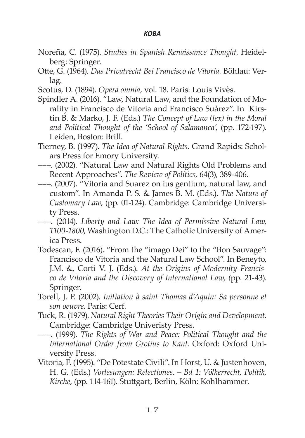- Noreña, C. (1975). *Studies in Spanish Renaissance Thought*. Heidelberg: Springer.
- Otte, G. (1964). *Das Privatrecht Bei Francisco de Vitoria.* Böhlau: Verlag.
- Scotus, D. (1894). *Opera omnia,* vol. 18. Paris: Louis Vivès.
- Spindler A. (2016). "Law, Natural Law, and the Foundation of Morality in Francisco de Vitoria and Francisco Suárez". In Kirstin B. & Marko, J. F. (Eds.) *The Concept of Law (lex) in the Moral and Political Thought of the 'School of Salamanca'*, (pp. 172-197). Leiden, Boston: Brill.
- Tierney, B. (1997). *The Idea of Natural Rights.* Grand Rapids: Scholars Press for Emory University.
- –––. (2002). "Natural Law and Natural Rights Old Problems and Recent Approaches". *The Review of Politics,* 64(3), 389-406.
- –––. (2007). "Vitoria and Suarez on ius gentium, natural law, and custom". In Amanda P. S. & James B. M. (Eds.). *The Nature of Customary Law*, (pp. 01-124). Cambridge: Cambridge University Press.
- –––. (2014). *Liberty and Law: The Idea of Permissive Natural Law, 1100-1800*, Washington D.C.: The Catholic University of America Press.
- Todescan, F. (2016). "From the "imago Dei" to the "Bon Sauvage": Francisco de Vitoria and the Natural Law School". In Beneyto, J.M. &, Corti V. J. (Eds.). *At the Origins of Modernity Francisco de Vitoria and the Discovery of International Law, (*pp. 21-43). Springer.
- Torell, J. P. (2002). *Initiation à saint Thomas d'Aquin: Sa personne et son oeuvre*. Paris: Cerf.
- Tuck, R. (1979). *Natural Right Theories Their Origin and Development.* Cambridge: Cambridge Univeristy Press.
- –––. (1999). *The Rights of War and Peace: Political Thought and the International Order from Grotius to Kant*. Oxford: Oxford University Press.
- Vitoria, F. (1995). "De Potestate Civili". In Horst, U. & Justenhoven, H. G. (Eds.) *Vorlesungen: Relectiones. – Bd 1: Völkerrecht, Politik, Kirche*, (pp. 114-161). Stuttgart, Berlin, Köln: Kohlhammer.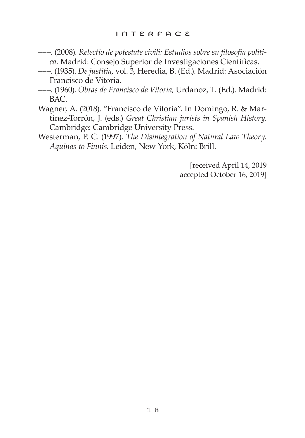- –––. (2008). *Relectio de potestate civili: Estudios sobre su filosofía política.* Madrid: Consejo Superior de Investigaciones Cientificas.
- –––. (1935). *De justitia*, vol. 3, Heredia, B. (Ed.). Madrid: Asociación Francisco de Vitoria.
- –––. (1960). *Obras de Francisco de Vitoria,* Urdanoz, T. (Ed.). Madrid: BAC.
- Wagner, A. (2018). "Francisco de Vitoria". In Domingo, R. & Martínez-Torrón, J. (eds.) *Great Christian jurists in Spanish History*. Cambridge: Cambridge University Press.

Westerman, P. C. (1997). *The Disintegration of Natural Law Theory. Aquinas to Finnis*. Leiden, New York, Köln: Brill.

> [received April 14, 2019 accepted October 16, 2019]